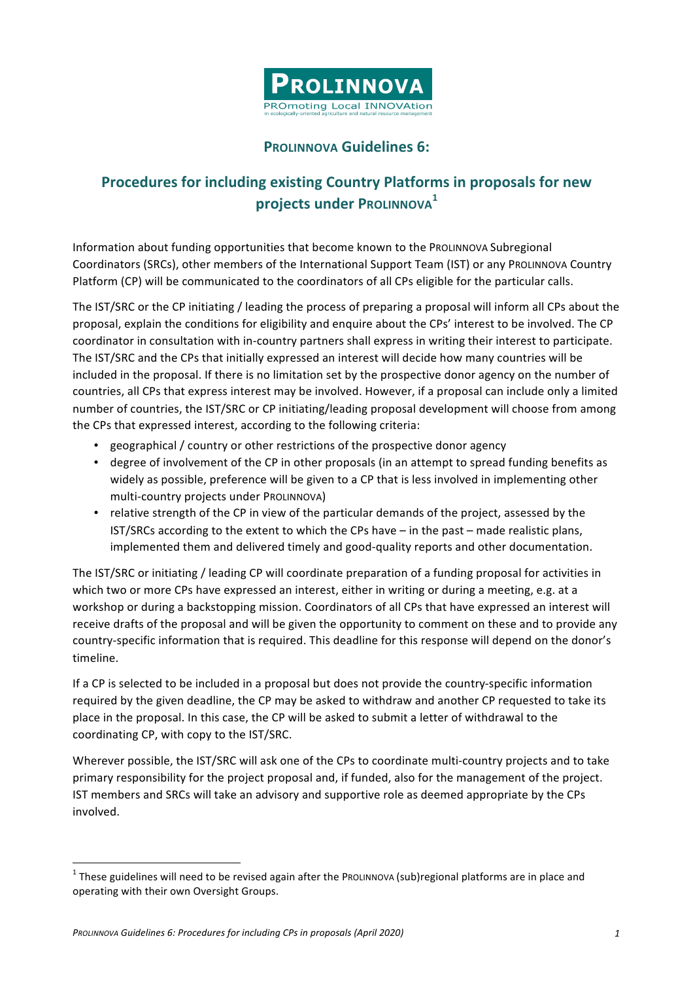

## **PROLINNOVA Guidelines 6:**

## **Procedures for including existing Country Platforms in proposals for new projects under PROLINNOVA**<sup>1</sup>

Information about funding opportunities that become known to the PROLINNOVA Subregional Coordinators (SRCs), other members of the International Support Team (IST) or any PROLINNOVA Country Platform (CP) will be communicated to the coordinators of all CPs eligible for the particular calls.

The IST/SRC or the CP initiating / leading the process of preparing a proposal will inform all CPs about the proposal, explain the conditions for eligibility and enquire about the CPs' interest to be involved. The CP coordinator in consultation with in-country partners shall express in writing their interest to participate. The IST/SRC and the CPs that initially expressed an interest will decide how many countries will be included in the proposal. If there is no limitation set by the prospective donor agency on the number of countries, all CPs that express interest may be involved. However, if a proposal can include only a limited number of countries, the IST/SRC or CP initiating/leading proposal development will choose from among the CPs that expressed interest, according to the following criteria:

- geographical / country or other restrictions of the prospective donor agency
- degree of involvement of the CP in other proposals (in an attempt to spread funding benefits as widely as possible, preference will be given to a CP that is less involved in implementing other multi-country projects under PROLINNOVA)
- relative strength of the CP in view of the particular demands of the project, assessed by the IST/SRCs according to the extent to which the CPs have  $-$  in the past  $-$  made realistic plans, implemented them and delivered timely and good-quality reports and other documentation.

The IST/SRC or initiating / leading CP will coordinate preparation of a funding proposal for activities in which two or more CPs have expressed an interest, either in writing or during a meeting, e.g. at a workshop or during a backstopping mission. Coordinators of all CPs that have expressed an interest will receive drafts of the proposal and will be given the opportunity to comment on these and to provide any country-specific information that is required. This deadline for this response will depend on the donor's timeline. 

If a CP is selected to be included in a proposal but does not provide the country-specific information required by the given deadline, the CP may be asked to withdraw and another CP requested to take its place in the proposal. In this case, the CP will be asked to submit a letter of withdrawal to the coordinating CP, with copy to the IST/SRC.

Wherever possible, the IST/SRC will ask one of the CPs to coordinate multi-country projects and to take primary responsibility for the project proposal and, if funded, also for the management of the project. IST members and SRCs will take an advisory and supportive role as deemed appropriate by the CPs involved. 

 $1$  These guidelines will need to be revised again after the PROLINNOVA (sub)regional platforms are in place and operating with their own Oversight Groups.